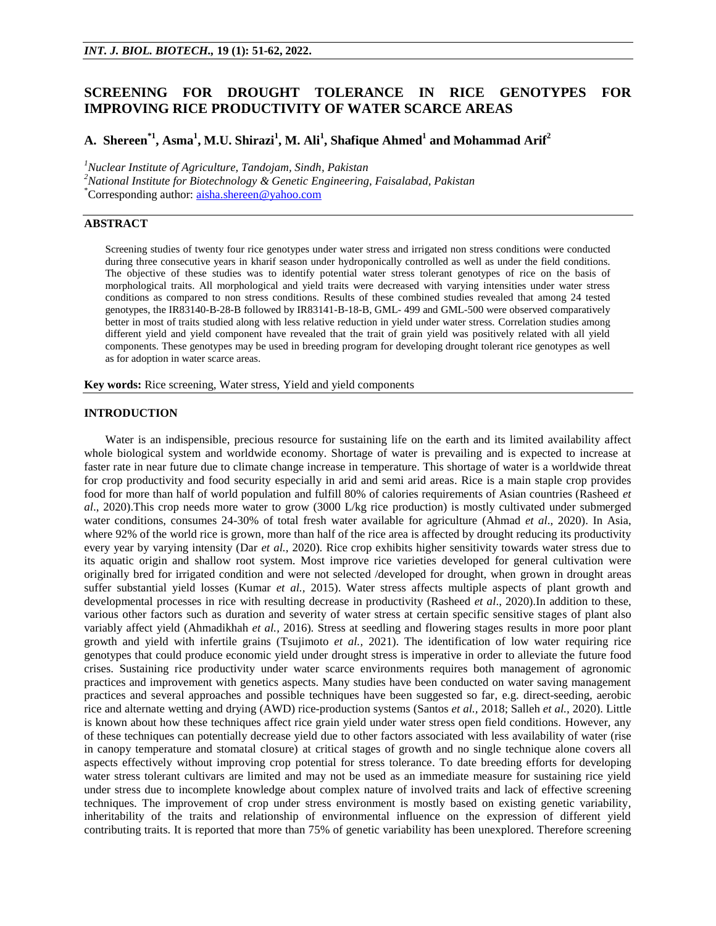# **SCREENING FOR DROUGHT TOLERANCE IN RICE GENOTYPES FOR IMPROVING RICE PRODUCTIVITY OF WATER SCARCE AREAS**

# **A. Shereen\*1, Asma<sup>1</sup> , M.U. Shirazi<sup>1</sup> , M. Ali<sup>1</sup> , Shafique Ahmed<sup>1</sup> and Mohammad Arif<sup>2</sup>**

*<sup>1</sup>Nuclear Institute of Agriculture, Tandojam, Sindh, Pakistan*

*<sup>2</sup>National Institute for Biotechnology & Genetic Engineering, Faisalabad, Pakistan*

\*Corresponding author: [aisha.shereen@yahoo.com](mailto:aisha.shereen@yahoo.com)

# **ABSTRACT**

Screening studies of twenty four rice genotypes under water stress and irrigated non stress conditions were conducted during three consecutive years in kharif season under hydroponically controlled as well as under the field conditions. The objective of these studies was to identify potential water stress tolerant genotypes of rice on the basis of morphological traits. All morphological and yield traits were decreased with varying intensities under water stress conditions as compared to non stress conditions. Results of these combined studies revealed that among 24 tested genotypes, the IR83140-B-28-B followed by IR83141-B-18-B, GML- 499 and GML-500 were observed comparatively better in most of traits studied along with less relative reduction in yield under water stress. Correlation studies among different yield and yield component have revealed that the trait of grain yield was positively related with all yield components. These genotypes may be used in breeding program for developing drought tolerant rice genotypes as well as for adoption in water scarce areas.

**Key words:** Rice screening, Water stress, Yield and yield components

# **INTRODUCTION**

Water is an indispensible, precious resource for sustaining life on the earth and its limited availability affect whole biological system and worldwide economy. Shortage of water is prevailing and is expected to increase at faster rate in near future due to climate change increase in temperature. This shortage of water is a worldwide threat for crop productivity and food security especially in arid and semi arid areas. Rice is a main staple crop provides food for more than half of world population and fulfill 80% of calories requirements of Asian countries (Rasheed *et al*., 2020).This crop needs more water to grow (3000 L/kg rice production) is mostly cultivated under submerged water conditions, consumes 24-30% of total fresh water available for agriculture (Ahmad *et al*., 2020). In Asia, where 92% of the world rice is grown, more than half of the rice area is affected by drought reducing its productivity every year by varying intensity (Dar *et al.,* 2020). Rice crop exhibits higher sensitivity towards water stress due to its aquatic origin and shallow root system. Most improve rice varieties developed for general cultivation were originally bred for irrigated condition and were not selected /developed for drought, when grown in drought areas suffer substantial yield losses (Kumar *et al.,* 2015). Water stress affects multiple aspects of plant growth and developmental processes in rice with resulting decrease in productivity (Rasheed *et al*., 2020).In addition to these, various other factors such as duration and severity of water stress at certain specific sensitive stages of plant also variably affect yield (Ahmadikhah *et al.,* 2016). Stress at seedling and flowering stages results in more poor plant growth and yield with infertile grains (Tsujimoto *et al.,* 2021). The identification of low water requiring rice genotypes that could produce economic yield under drought stress is imperative in order to alleviate the future food crises. Sustaining rice productivity under water scarce environments requires both management of agronomic practices and improvement with genetics aspects. Many studies have been conducted on water saving management practices and several approaches and possible techniques have been suggested so far, e.g. direct-seeding, aerobic rice and alternate wetting and drying (AWD) rice-production systems (Santos *et al.,* 2018; Salleh *et al.,* 2020). Little is known about how these techniques affect rice grain yield under water stress open field conditions. However, any of these techniques can potentially decrease yield due to other factors associated with less availability of water (rise in canopy temperature and stomatal closure) at critical stages of growth and no single technique alone covers all aspects effectively without improving crop potential for stress tolerance. To date breeding efforts for developing water stress tolerant cultivars are limited and may not be used as an immediate measure for sustaining rice yield under stress due to incomplete knowledge about complex nature of involved traits and lack of effective screening techniques. The improvement of crop under stress environment is mostly based on existing genetic variability, inheritability of the traits and relationship of environmental influence on the expression of different yield contributing traits. It is reported that more than 75% of genetic variability has been unexplored. Therefore screening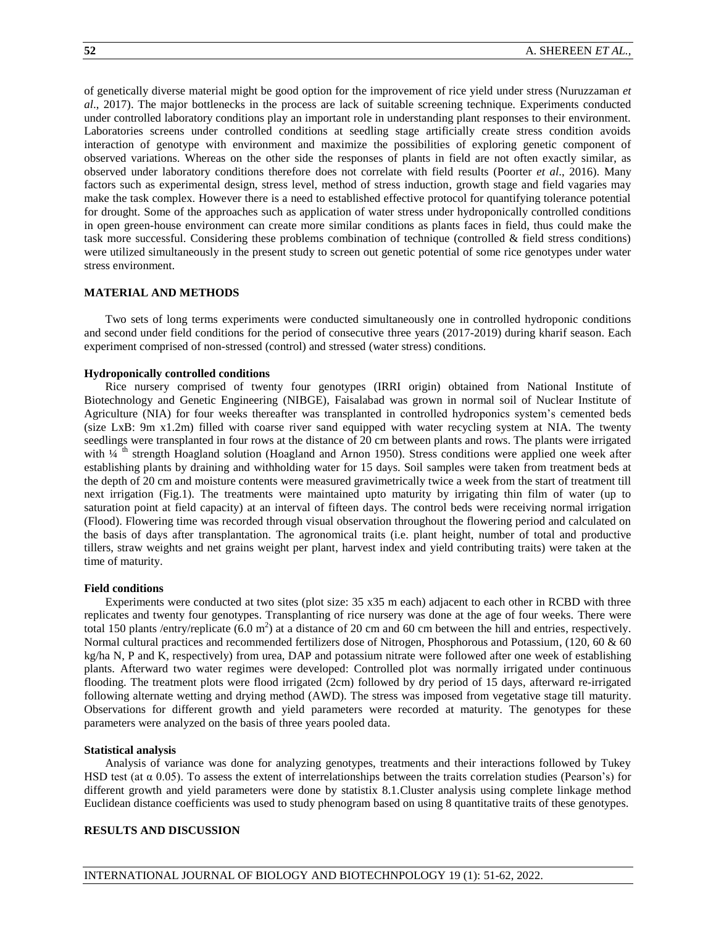of genetically diverse material might be good option for the improvement of rice yield under stress (Nuruzzaman *et al*., 2017). The major bottlenecks in the process are lack of suitable screening technique. Experiments conducted under controlled laboratory conditions play an important role in understanding plant responses to their environment. Laboratories screens under controlled conditions at seedling stage artificially create stress condition avoids interaction of genotype with environment and maximize the possibilities of exploring genetic component of observed variations. Whereas on the other side the responses of plants in field are not often exactly similar, as observed under laboratory conditions therefore does not correlate with field results (Poorter *et al*., 2016). Many factors such as experimental design, stress level, method of stress induction, growth stage and field vagaries may make the task complex. However there is a need to established effective protocol for quantifying tolerance potential for drought. Some of the approaches such as application of water stress under hydroponically controlled conditions in open green-house environment can create more similar conditions as plants faces in field, thus could make the task more successful. Considering these problems combination of technique (controlled & field stress conditions) were utilized simultaneously in the present study to screen out genetic potential of some rice genotypes under water stress environment.

#### **MATERIAL AND METHODS**

Two sets of long terms experiments were conducted simultaneously one in controlled hydroponic conditions and second under field conditions for the period of consecutive three years (2017-2019) during kharif season. Each experiment comprised of non-stressed (control) and stressed (water stress) conditions.

#### **Hydroponically controlled conditions**

Rice nursery comprised of twenty four genotypes (IRRI origin) obtained from National Institute of Biotechnology and Genetic Engineering (NIBGE), Faisalabad was grown in normal soil of Nuclear Institute of Agriculture (NIA) for four weeks thereafter was transplanted in controlled hydroponics system's cemented beds (size LxB: 9m x1.2m) filled with coarse river sand equipped with water recycling system at NIA. The twenty seedlings were transplanted in four rows at the distance of 20 cm between plants and rows. The plants were irrigated with  $\frac{1}{4}$  th strength Hoagland solution (Hoagland and Arnon 1950). Stress conditions were applied one week after establishing plants by draining and withholding water for 15 days. Soil samples were taken from treatment beds at the depth of 20 cm and moisture contents were measured gravimetrically twice a week from the start of treatment till next irrigation (Fig.1). The treatments were maintained upto maturity by irrigating thin film of water (up to saturation point at field capacity) at an interval of fifteen days. The control beds were receiving normal irrigation (Flood). Flowering time was recorded through visual observation throughout the flowering period and calculated on the basis of days after transplantation. The agronomical traits (i.e. plant height, number of total and productive tillers, straw weights and net grains weight per plant, harvest index and yield contributing traits) were taken at the time of maturity.

#### **Field conditions**

Experiments were conducted at two sites (plot size: 35 x35 m each) adjacent to each other in RCBD with three replicates and twenty four genotypes. Transplanting of rice nursery was done at the age of four weeks. There were total 150 plants /entry/replicate  $(6.0 \text{ m}^2)$  at a distance of 20 cm and 60 cm between the hill and entries, respectively. Normal cultural practices and recommended fertilizers dose of Nitrogen, Phosphorous and Potassium, (120, 60 & 60 kg/ha N, P and K, respectively) from urea, DAP and potassium nitrate were followed after one week of establishing plants. Afterward two water regimes were developed: Controlled plot was normally irrigated under continuous flooding. The treatment plots were flood irrigated (2cm) followed by dry period of 15 days, afterward re-irrigated following alternate wetting and drying method (AWD). The stress was imposed from vegetative stage till maturity. Observations for different growth and yield parameters were recorded at maturity. The genotypes for these parameters were analyzed on the basis of three years pooled data.

#### **Statistical analysis**

Analysis of variance was done for analyzing genotypes, treatments and their interactions followed by Tukey HSD test (at  $\alpha$  0.05). To assess the extent of interrelationships between the traits correlation studies (Pearson's) for different growth and yield parameters were done by statistix 8.1.Cluster analysis using complete linkage method Euclidean distance coefficients was used to study phenogram based on using 8 quantitative traits of these genotypes.

# **RESULTS AND DISCUSSION**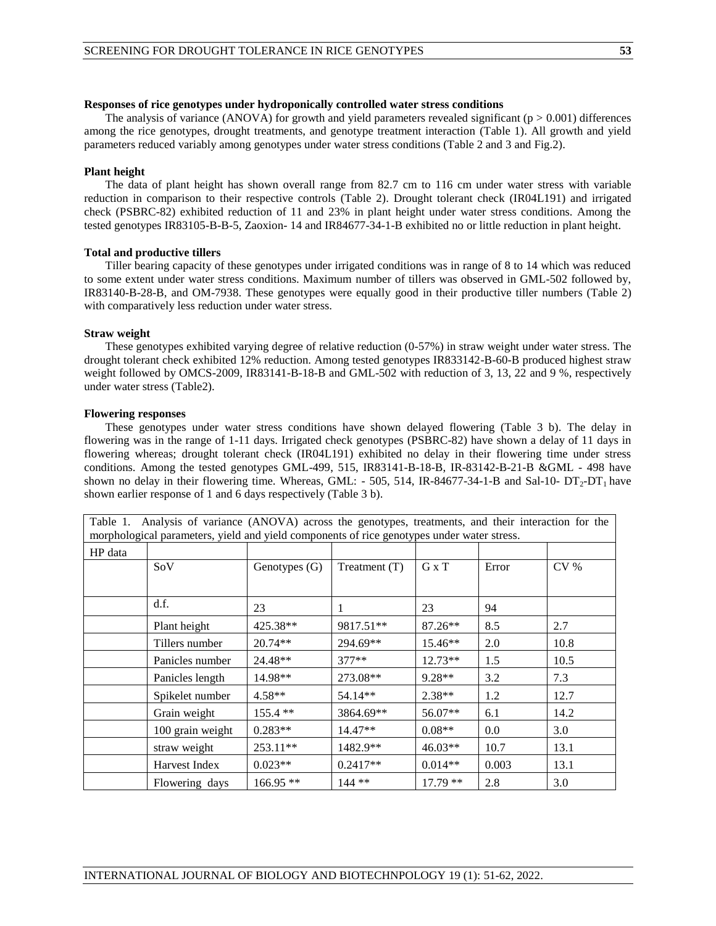#### **Responses of rice genotypes under hydroponically controlled water stress conditions**

The analysis of variance (ANOVA) for growth and yield parameters revealed significant ( $p > 0.001$ ) differences among the rice genotypes, drought treatments, and genotype treatment interaction (Table 1). All growth and yield parameters reduced variably among genotypes under water stress conditions (Table 2 and 3 and Fig.2).

### **Plant height**

The data of plant height has shown overall range from 82.7 cm to 116 cm under water stress with variable reduction in comparison to their respective controls (Table 2). Drought tolerant check (IR04L191) and irrigated check (PSBRC-82) exhibited reduction of 11 and 23% in plant height under water stress conditions. Among the tested genotypes IR83105-B-B-5, Zaoxion- 14 and IR84677-34-1-B exhibited no or little reduction in plant height.

#### **Total and productive tillers**

Tiller bearing capacity of these genotypes under irrigated conditions was in range of 8 to 14 which was reduced to some extent under water stress conditions. Maximum number of tillers was observed in GML-502 followed by, IR83140-B-28-B, and OM-7938. These genotypes were equally good in their productive tiller numbers (Table 2) with comparatively less reduction under water stress.

#### **Straw weight**

These genotypes exhibited varying degree of relative reduction (0-57%) in straw weight under water stress. The drought tolerant check exhibited 12% reduction. Among tested genotypes IR833142-B-60-B produced highest straw weight followed by OMCS-2009, IR83141-B-18-B and GML-502 with reduction of 3, 13, 22 and 9 %, respectively under water stress (Table2).

#### **Flowering responses**

These genotypes under water stress conditions have shown delayed flowering (Table 3 b). The delay in flowering was in the range of 1-11 days. Irrigated check genotypes (PSBRC-82) have shown a delay of 11 days in flowering whereas; drought tolerant check (IR04L191) exhibited no delay in their flowering time under stress conditions. Among the tested genotypes GML-499, 515, IR83141-B-18-B, IR-83142-B-21-B &GML - 498 have shown no delay in their flowering time. Whereas, GML: - 505, 514, IR-84677-34-1-B and Sal-10-  $DT_2$ -DT<sub>1</sub> have shown earlier response of 1 and 6 days respectively (Table 3 b).

Table 1. Analysis of variance (ANOVA) across the genotypes, treatments, and their interaction for the morphological parameters, yield and yield components of rice genotypes under water stress. HP data  $Sov$  Genotypes (G) Treatment (T) G x T Error CV % d.f.  $23 \t\t 1 \t\t 23 \t 94$ Plant height  $\begin{array}{|c|c|c|c|c|c|c|c|} \hline \end{array}$  425.38\*\* | 9817.51\*\* | 87.26\*\* | 8.5 | 2.7 Tillers number 20.74\*\* 294.69\*\* 15.46\*\* 2.0 10.8 Panicles number 24.48\*\* 1377\*\* 12.73\*\* 1.5 10.5 Panicles length | 14.98<sup>\*\*</sup> | 273.08<sup>\*\*</sup> | 9.28<sup>\*\*</sup> | 3.2 | 7.3 Spikelet number  $\begin{array}{|l|l|} 4.58** & 54.14** & 2.38** & 1.2 & 12.7 \end{array}$ Grain weight  $\begin{array}{|l|c|c|c|c|c|c|c|} \hline \end{array}$  155.4 \*\*  $\begin{array}{|l|c|c|c|c|c|} \hline 3864.69^{**} & 56.07^{**} & 6.1 & 14.2 \\ \hline \end{array}$ 100 grain weight  $\begin{array}{|c|c|c|c|c|c|c|c|} \hline 0.08^{**} & 0.08^{**} & 0.0 & 3.0 \\ \hline \end{array}$ straw weight 253.11\*\* 1482.9\*\* 46.03\*\* 10.7 13.1 Harvest Index 0.023\*\* 0.2417\*\* 0.014\*\* 0.003 13.1

Flowering days |  $166.95$  \*\* |  $144$  \*\* |  $17.79$  \*\* |  $2.8$  |  $3.0$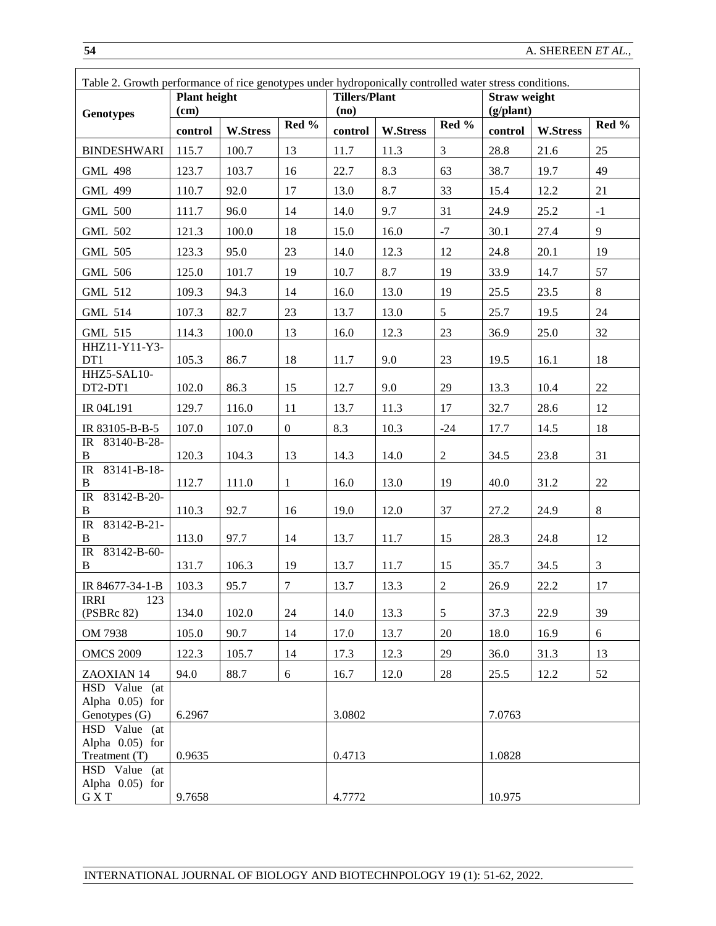| Table 2. Growth performance of rice genotypes under hydroponically controlled water stress conditions. |                     |                 |                |                      |                 |                |              |                 |       |  |  |  |  |
|--------------------------------------------------------------------------------------------------------|---------------------|-----------------|----------------|----------------------|-----------------|----------------|--------------|-----------------|-------|--|--|--|--|
|                                                                                                        | <b>Plant height</b> |                 |                | <b>Tillers/Plant</b> |                 |                | Straw weight |                 |       |  |  |  |  |
| <b>Genotypes</b>                                                                                       | (cm)                |                 | Red %          | (no)                 |                 | Red %          | (g/plant)    |                 | Red % |  |  |  |  |
|                                                                                                        | control             | <b>W.Stress</b> |                | control              | <b>W.Stress</b> |                | control      | <b>W.Stress</b> |       |  |  |  |  |
| <b>BINDESHWARI</b>                                                                                     | 115.7               | 100.7           | 13             | 11.7                 | 11.3            | 3              | 28.8         | 21.6            | 25    |  |  |  |  |
| <b>GML 498</b>                                                                                         | 123.7               | 103.7           | 16             | 22.7                 | 8.3             | 63             | 38.7         | 19.7            | 49    |  |  |  |  |
| <b>GML 499</b>                                                                                         | 110.7               | 92.0            | 17             | 13.0                 | 8.7             | 33             | 15.4         | 12.2            | 21    |  |  |  |  |
| <b>GML 500</b>                                                                                         | 111.7               | 96.0            | 14             | 14.0                 | 9.7             | 31             | 24.9         | 25.2            | $-1$  |  |  |  |  |
| <b>GML 502</b>                                                                                         | 121.3               | 100.0           | 18             | 15.0                 | 16.0            | $-7$           | 30.1         | 27.4            | 9     |  |  |  |  |
| <b>GML 505</b>                                                                                         | 123.3               | 95.0            | 23             | 14.0                 | 12.3            | 12             | 24.8         | 20.1            | 19    |  |  |  |  |
| <b>GML 506</b>                                                                                         | 125.0               | 101.7           | 19             | 10.7                 | 8.7             | 19             | 33.9         | 14.7            | 57    |  |  |  |  |
| GML 512                                                                                                | 109.3               | 94.3            | 14             | 16.0                 | 13.0            | 19             | 25.5         | 23.5            | 8     |  |  |  |  |
| <b>GML 514</b>                                                                                         | 107.3               | 82.7            | 23             | 13.7                 | 13.0            | 5              | 25.7         | 19.5            | 24    |  |  |  |  |
| <b>GML 515</b>                                                                                         | 114.3               | 100.0           | 13             | 16.0                 | 12.3            | 23             | 36.9         | 25.0            | 32    |  |  |  |  |
| HHZ11-Y11-Y3-<br>DT1                                                                                   | 105.3               | 86.7            | 18             | 11.7                 | 9.0             | 23             | 19.5         | 16.1            | 18    |  |  |  |  |
| HHZ5-SAL10-<br>DT2-DT1                                                                                 | 102.0               | 86.3            | 15             | 12.7                 | 9.0             | 29             | 13.3         | 10.4            | 22    |  |  |  |  |
| IR 04L191                                                                                              | 129.7               | 116.0           | 11             | 13.7                 | 11.3            | 17             | 32.7         | 28.6            | 12    |  |  |  |  |
| IR 83105-B-B-5                                                                                         | 107.0               | 107.0           | $\overline{0}$ | 8.3                  | 10.3            | $-24$          | 17.7         | 14.5            | 18    |  |  |  |  |
| IR 83140-B-28-<br>B                                                                                    | 120.3               | 104.3           | 13             | 14.3                 | 14.0            | $\overline{2}$ | 34.5         | 23.8            | 31    |  |  |  |  |
| 83141-B-18-<br>IR<br>$\bf{B}$                                                                          | 112.7               | 111.0           | $\mathbf{1}$   | 16.0                 | 13.0            | 19             | 40.0         | 31.2            | 22    |  |  |  |  |
| 83142-B-20-<br>IR<br>$\, {\bf B}$                                                                      | 110.3               | 92.7            | 16             | 19.0                 | 12.0            | 37             | 27.2         | 24.9            | $8\,$ |  |  |  |  |
| 83142-B-21-<br>IR<br>B                                                                                 | 113.0               | 97.7            | 14             | 13.7                 | 11.7            | 15             | 28.3         | 24.8            | 12    |  |  |  |  |
| 83142-B-60-<br>$\ensuremath{\mathsf{IR}}\xspace$<br>B                                                  | 131.7               | 106.3           | 19             | 13.7                 | 11.7            | 15             | 35.7         | 34.5            | 3     |  |  |  |  |
| IR 84677-34-1-B                                                                                        | 103.3               | 95.7            | $\tau$         | 13.7                 | 13.3            | $\overline{2}$ | 26.9         | 22.2            | 17    |  |  |  |  |
| IRRI<br>123<br>(PSBRc 82)                                                                              | 134.0               | 102.0           | 24             | 14.0                 | 13.3            | 5              | 37.3         | 22.9            | 39    |  |  |  |  |
| OM 7938                                                                                                | 105.0               | 90.7            | 14             | 17.0                 | 13.7            | 20             | 18.0         | 16.9            | 6     |  |  |  |  |
| <b>OMCS 2009</b>                                                                                       | 122.3               | 105.7           | 14             | 17.3                 | 12.3            | 29             | 36.0         | 31.3            | 13    |  |  |  |  |
| ZAOXIAN 14                                                                                             | 94.0                | 88.7            | 6              | 16.7                 | 12.0            | 28             | 25.5         | 12.2            | 52    |  |  |  |  |
| HSD Value (at<br>Alpha $0.05$ ) for<br>Genotypes (G)                                                   | 6.2967              |                 |                | 3.0802               |                 |                | 7.0763       |                 |       |  |  |  |  |
| HSD Value (at<br>Alpha $0.05$ ) for<br>Treatment (T)                                                   | 0.9635              |                 |                | 0.4713               |                 |                | 1.0828       |                 |       |  |  |  |  |
| HSD Value (at<br>Alpha $0.05$ ) for<br>G X T                                                           | 9.7658              |                 |                | 4.7772               |                 |                | 10.975       |                 |       |  |  |  |  |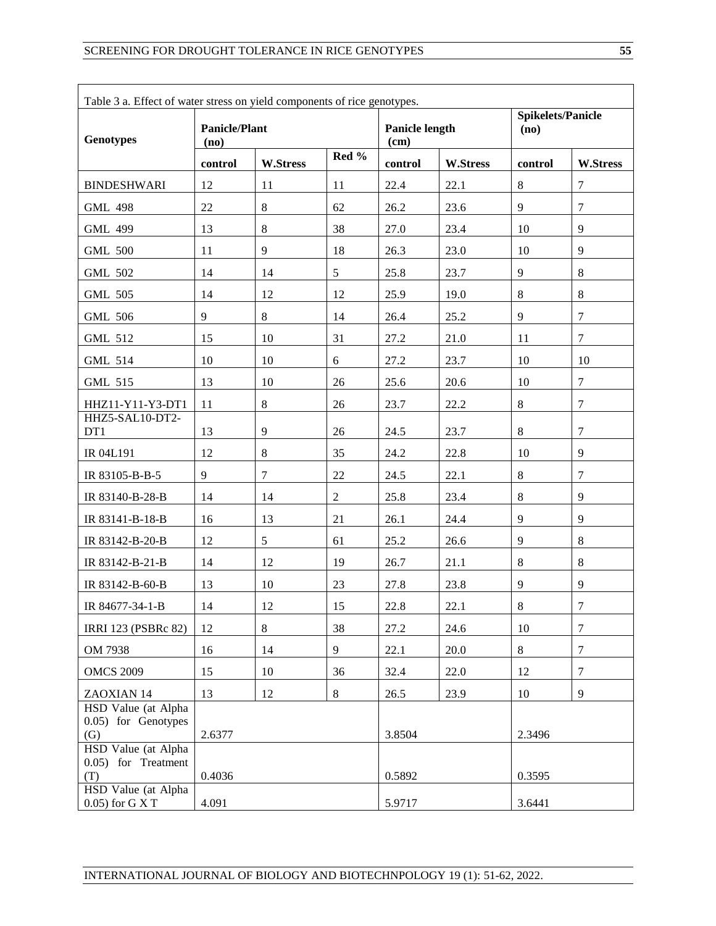| Table 3 a. Effect of water stress on yield components of rice genotypes. |                              |                 |                |                        |                 |         |                          |  |  |  |  |
|--------------------------------------------------------------------------|------------------------------|-----------------|----------------|------------------------|-----------------|---------|--------------------------|--|--|--|--|
| <b>Genotypes</b>                                                         | <b>Panicle/Plant</b><br>(no) |                 |                | Panicle length<br>(cm) |                 | (no)    | <b>Spikelets/Panicle</b> |  |  |  |  |
|                                                                          | control                      | <b>W.Stress</b> | Red %          | control                | <b>W.Stress</b> | control | <b>W.Stress</b>          |  |  |  |  |
| <b>BINDESHWARI</b>                                                       | 12                           | 11              | 11             | 22.4                   | 22.1            | $\,8\,$ | $\overline{7}$           |  |  |  |  |
| <b>GML 498</b>                                                           | 22                           | 8               | 62             | 26.2                   | 23.6            | 9       | $\overline{7}$           |  |  |  |  |
| <b>GML 499</b>                                                           | 13                           | $8\,$           | 38             | 27.0                   | 23.4            | 10      | 9                        |  |  |  |  |
| <b>GML 500</b>                                                           | 11                           | 9               | 18             | 26.3                   | 23.0            | 10      | 9                        |  |  |  |  |
| <b>GML 502</b>                                                           | 14                           | 14              | 5              | 25.8                   | 23.7            | 9       | 8                        |  |  |  |  |
| <b>GML 505</b>                                                           | 14                           | 12              | 12             | 25.9                   | 19.0            | 8       | $8\,$                    |  |  |  |  |
| <b>GML 506</b>                                                           | 9                            | $8\,$           | 14             | 26.4                   | 25.2            | 9       | 7                        |  |  |  |  |
| <b>GML 512</b>                                                           | 15                           | 10              | 31             | 27.2                   | 21.0            | 11      | $\overline{7}$           |  |  |  |  |
| <b>GML 514</b>                                                           | 10                           | 10              | 6              | 27.2                   | 23.7            | 10      | 10                       |  |  |  |  |
| <b>GML 515</b>                                                           | 13                           | 10              | 26             | 25.6                   | 20.6            | 10      | $\tau$                   |  |  |  |  |
| HHZ11-Y11-Y3-DT1                                                         | 11                           | 8               | 26             | 23.7                   | 22.2            | $\,8\,$ | $\overline{7}$           |  |  |  |  |
| HHZ5-SAL10-DT2-<br>DT1                                                   | 13                           | 9               | 26             | 24.5                   | 23.7            | 8       | $\overline{7}$           |  |  |  |  |
| IR 04L191                                                                | 12                           | $8\,$           | 35             | 24.2                   | 22.8            | 10      | 9                        |  |  |  |  |
| IR 83105-B-B-5                                                           | 9                            | $\tau$          | 22             | 24.5                   | 22.1            | $\,8\,$ | $\overline{7}$           |  |  |  |  |
| IR 83140-B-28-B                                                          | 14                           | 14              | $\overline{2}$ | 25.8                   | 23.4            | 8       | 9                        |  |  |  |  |
| IR 83141-B-18-B                                                          | 16                           | 13              | 21             | 26.1                   | 24.4            | 9       | 9                        |  |  |  |  |
| IR 83142-B-20-B                                                          | 12                           | 5               | 61             | 25.2                   | 26.6            | 9       | 8                        |  |  |  |  |
| IR 83142-B-21-B                                                          | 14                           | 12              | 19             | 26.7                   | 21.1            | 8       | $8\,$                    |  |  |  |  |
| IR 83142-B-60-B                                                          | 13                           | 10              | 23             | 27.8                   | 23.8            | 9       | 9                        |  |  |  |  |
| IR 84677-34-1-B                                                          | 14                           | 12              | 15             | 22.8                   | 22.1            | $8\,$   | $\boldsymbol{7}$         |  |  |  |  |
| IRRI 123 (PSBRc 82)                                                      | 12                           | 8               | 38             | 27.2                   | 24.6            | 10      | $\overline{7}$           |  |  |  |  |
| OM 7938                                                                  | 16                           | 14              | 9              | 22.1                   | 20.0            | 8       | $\overline{7}$           |  |  |  |  |
| <b>OMCS 2009</b>                                                         | 15                           | 10              | 36             | 32.4                   | 22.0            | 12      | $\overline{7}$           |  |  |  |  |
| ZAOXIAN 14                                                               | 13                           | 12              | $8\,$          | 26.5                   | 23.9            | 10      | $\overline{9}$           |  |  |  |  |
| HSD Value (at Alpha<br>0.05) for Genotypes<br>(G)                        | 2.6377                       |                 |                | 3.8504                 |                 | 2.3496  |                          |  |  |  |  |
| HSD Value (at Alpha<br>0.05) for Treatment<br>(T)                        | 0.4036                       |                 |                | 0.5892                 |                 | 0.3595  |                          |  |  |  |  |
| HSD Value (at Alpha<br>0.05) for G X T                                   | 4.091                        |                 |                | 5.9717                 |                 | 3.6441  |                          |  |  |  |  |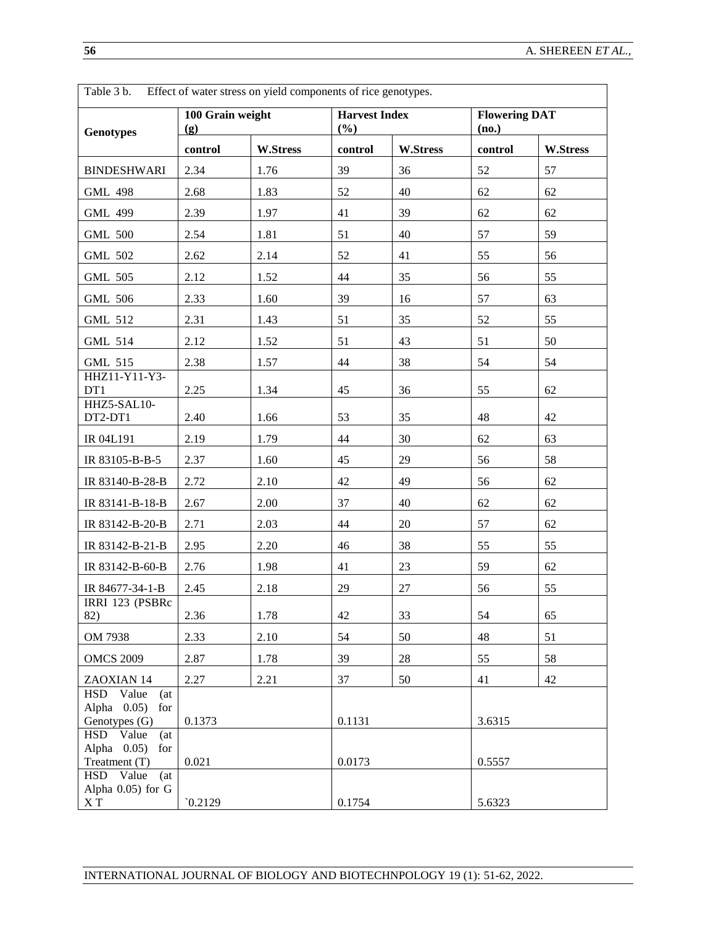| Table 3 b.                                                  |                         | Effect of water stress on yield components of rice genotypes. |                             |          |         |                      |  |  |  |  |  |
|-------------------------------------------------------------|-------------------------|---------------------------------------------------------------|-----------------------------|----------|---------|----------------------|--|--|--|--|--|
| <b>Genotypes</b>                                            | 100 Grain weight<br>(g) |                                                               | <b>Harvest Index</b><br>(%) |          | (no.)   | <b>Flowering DAT</b> |  |  |  |  |  |
|                                                             | control                 | <b>W.Stress</b>                                               | control                     | W.Stress | control | <b>W.Stress</b>      |  |  |  |  |  |
| <b>BINDESHWARI</b>                                          | 2.34                    | 1.76                                                          | 39                          | 36       | 52      | 57                   |  |  |  |  |  |
| <b>GML 498</b>                                              | 2.68                    | 1.83                                                          | 52                          | 40       | 62      | 62                   |  |  |  |  |  |
| <b>GML 499</b>                                              | 2.39                    | 1.97                                                          | 41                          | 39       | 62      | 62                   |  |  |  |  |  |
| <b>GML 500</b>                                              | 2.54                    | 1.81                                                          | 51                          | 40       | 57      | 59                   |  |  |  |  |  |
| <b>GML 502</b>                                              | 2.62                    | 2.14                                                          | 52                          | 41       | 55      | 56                   |  |  |  |  |  |
| <b>GML 505</b>                                              | 2.12                    | 1.52                                                          | 44                          | 35       | 56      | 55                   |  |  |  |  |  |
| <b>GML 506</b>                                              | 2.33                    | 1.60                                                          | 39                          | 16       | 57      | 63                   |  |  |  |  |  |
| <b>GML 512</b>                                              | 2.31                    | 1.43                                                          | 51                          | 35       | 52      | 55                   |  |  |  |  |  |
| <b>GML 514</b>                                              | 2.12                    | 1.52                                                          | 51                          | 43       | 51      | 50                   |  |  |  |  |  |
| <b>GML 515</b>                                              | 2.38                    | 1.57                                                          | 44                          | 38       | 54      | 54                   |  |  |  |  |  |
| HHZ11-Y11-Y3-<br>DT1                                        | 2.25                    | 1.34                                                          | 45                          | 36       | 55      | 62                   |  |  |  |  |  |
| HHZ5-SAL10-<br>DT2-DT1                                      | 2.40                    | 1.66                                                          | 53                          | 35       | 48      | 42                   |  |  |  |  |  |
| IR 04L191                                                   | 2.19                    | 1.79                                                          | 44                          | 30       | 62      | 63                   |  |  |  |  |  |
| IR 83105-B-B-5                                              | 2.37                    | 1.60                                                          | 45                          | 29       | 56      | 58                   |  |  |  |  |  |
| IR 83140-B-28-B                                             | 2.72                    | 2.10                                                          | 42                          | 49       | 56      | 62                   |  |  |  |  |  |
| IR 83141-B-18-B                                             | 2.67                    | 2.00                                                          | 37                          | 40       | 62      | 62                   |  |  |  |  |  |
| IR 83142-B-20-B                                             | 2.71                    | 2.03                                                          | 44                          | 20       | 57      | 62                   |  |  |  |  |  |
| IR 83142-B-21-B                                             | 2.95                    | 2.20                                                          | 46                          | 38       | 55      | 55                   |  |  |  |  |  |
| IR 83142-B-60-B                                             | 2.76                    | 1.98                                                          | 41                          | 23       | 59      | 62                   |  |  |  |  |  |
| IR 84677-34-1-B                                             | 2.45                    | 2.18                                                          | 29                          | 27       | 56      | 55                   |  |  |  |  |  |
| IRRI 123 (PSBRc<br>82)                                      | 2.36                    | 1.78                                                          | 42                          | 33       | 54      | 65                   |  |  |  |  |  |
| OM 7938                                                     | 2.33                    | 2.10                                                          | 54                          | 50       | 48      | 51                   |  |  |  |  |  |
| <b>OMCS 2009</b>                                            | 2.87                    | 1.78                                                          | 39                          | 28       | 55      | 58                   |  |  |  |  |  |
| ZAOXIAN 14                                                  | 2.27                    | 2.21                                                          | 37                          | 50       | 41      | 42                   |  |  |  |  |  |
| HSD Value<br>(at)<br>Alpha $0.05$ )<br>for<br>Genotypes (G) | 0.1373                  |                                                               | 0.1131                      |          | 3.6315  |                      |  |  |  |  |  |
| HSD Value<br>(at)<br>Alpha $0.05$ )<br>for<br>Treatment (T) | 0.021                   |                                                               | 0.0173                      |          | 0.5557  |                      |  |  |  |  |  |
| HSD Value<br>(at)<br>Alpha 0.05) for G<br>X T               | 0.2129                  |                                                               | 0.1754                      |          | 5.6323  |                      |  |  |  |  |  |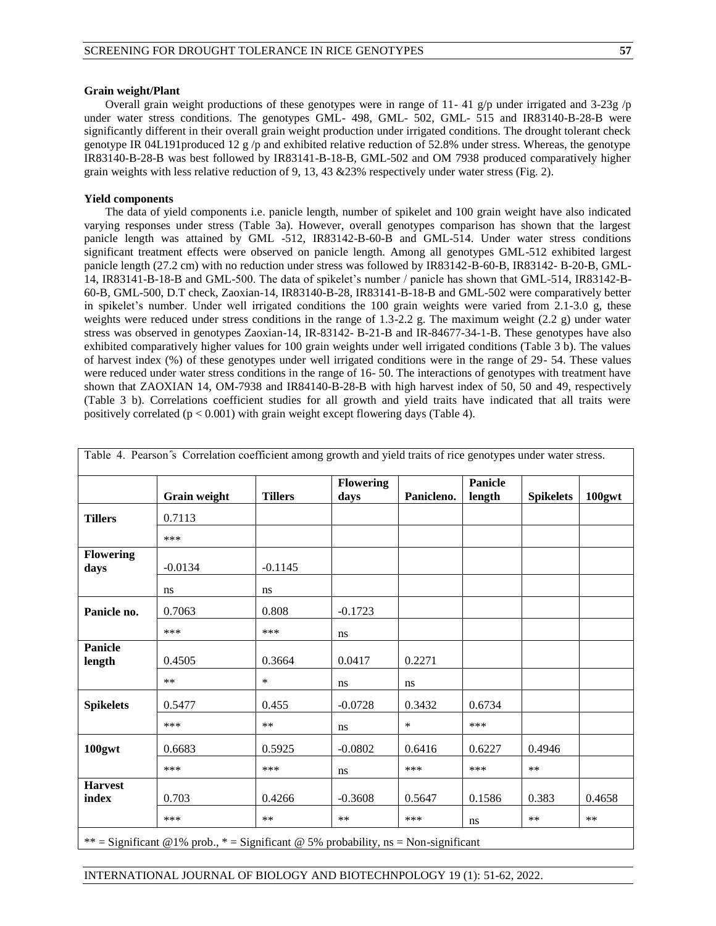#### **Grain weight/Plant**

Overall grain weight productions of these genotypes were in range of 11-41 g/p under irrigated and 3-23g /p under water stress conditions. The genotypes GML- 498, GML- 502, GML- 515 and IR83140-B-28-B were significantly different in their overall grain weight production under irrigated conditions. The drought tolerant check genotype IR 04L191produced 12 g/p and exhibited relative reduction of 52.8% under stress. Whereas, the genotype IR83140-B-28-B was best followed by IR83141-B-18-B, GML-502 and OM 7938 produced comparatively higher grain weights with less relative reduction of 9, 13, 43 &23% respectively under water stress (Fig. 2).

#### **Yield components**

The data of yield components i.e. panicle length, number of spikelet and 100 grain weight have also indicated varying responses under stress (Table 3a). However, overall genotypes comparison has shown that the largest panicle length was attained by GML -512, IR83142-B-60-B and GML-514. Under water stress conditions significant treatment effects were observed on panicle length. Among all genotypes GML-512 exhibited largest panicle length (27.2 cm) with no reduction under stress was followed by IR83142-B-60-B, IR83142- B-20-B, GML-14, IR83141-B-18-B and GML-500. The data of spikelet's number / panicle has shown that GML-514, IR83142-B-60-B, GML-500, D.T check, Zaoxian-14, IR83140-B-28, IR83141-B-18-B and GML-502 were comparatively better in spikelet's number. Under well irrigated conditions the 100 grain weights were varied from 2.1-3.0 g, these weights were reduced under stress conditions in the range of 1.3-2.2 g. The maximum weight (2.2 g) under water stress was observed in genotypes Zaoxian-14, IR-83142- B-21-B and IR-84677-34-1-B. These genotypes have also exhibited comparatively higher values for 100 grain weights under well irrigated conditions (Table 3 b). The values of harvest index (%) of these genotypes under well irrigated conditions were in the range of 29- 54. These values were reduced under water stress conditions in the range of 16- 50. The interactions of genotypes with treatment have shown that ZAOXIAN 14, OM-7938 and IR84140-B-28-B with high harvest index of 50, 50 and 49, respectively (Table 3 b). Correlations coefficient studies for all growth and yield traits have indicated that all traits were positively correlated  $(p < 0.001)$  with grain weight except flowering days (Table 4).

|                          | Grain weight | <b>Tillers</b> | <b>Flowering</b><br>days | Panicleno. | <b>Panicle</b><br>length | <b>Spikelets</b> | 100gwt |
|--------------------------|--------------|----------------|--------------------------|------------|--------------------------|------------------|--------|
| <b>Tillers</b>           | 0.7113       |                |                          |            |                          |                  |        |
|                          | ***          |                |                          |            |                          |                  |        |
| Flowering<br>days        | $-0.0134$    | $-0.1145$      |                          |            |                          |                  |        |
|                          | ns           | ns             |                          |            |                          |                  |        |
| Panicle no.              | 0.7063       | 0.808          | $-0.1723$                |            |                          |                  |        |
|                          | ***          | ***            | ns                       |            |                          |                  |        |
| <b>Panicle</b><br>length | 0.4505       | 0.3664         | 0.0417                   | 0.2271     |                          |                  |        |
|                          | $\ast\ast$   | $\ast$         | ns                       | ns         |                          |                  |        |
| <b>Spikelets</b>         | 0.5477       | 0.455          | $-0.0728$                | 0.3432     | 0.6734                   |                  |        |
|                          | ***          | $***$          | ns                       | $\ast$     | ***                      |                  |        |
| 100gwt                   | 0.6683       | 0.5925         | $-0.0802$                | 0.6416     | 0.6227                   | 0.4946           |        |
|                          | ***          | ***            | ns                       | ***        | ***                      | $***$            |        |
| <b>Harvest</b><br>index  | 0.703        | 0.4266         | $-0.3608$                | 0.5647     | 0.1586                   | 0.383            | 0.4658 |
|                          | ***          | $***$          | $**$                     | ***        | ns                       | $***$            | $**$   |

\*\* = Significant @1% prob., \* = Significant @ 5% probability, ns = Non-significant

### INTERNATIONAL JOURNAL OF BIOLOGY AND BIOTECHNPOLOGY 19 (1): 51-62, 2022.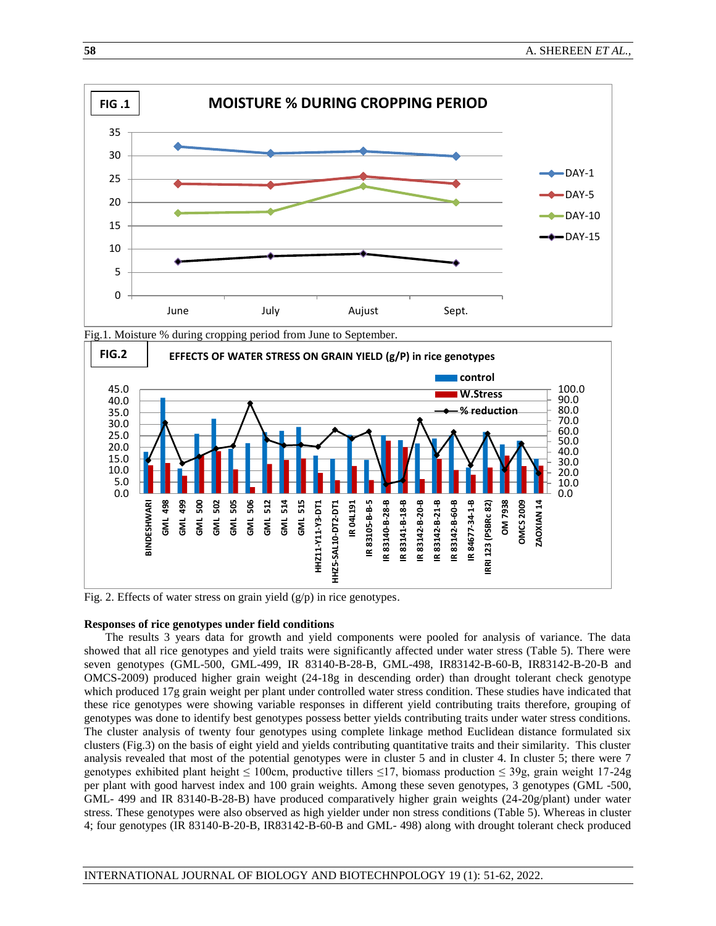

Fig.1. Moisture % during cropping period from June to September.



Fig. 2. Effects of water stress on grain yield  $(g/p)$  in rice genotypes.

## **Responses of rice genotypes under field conditions**

The results 3 years data for growth and yield components were pooled for analysis of variance. The data showed that all rice genotypes and yield traits were significantly affected under water stress (Table 5). There were seven genotypes (GML-500, GML-499, IR 83140-B-28-B, GML-498, IR83142-B-60-B, IR83142-B-20-B and OMCS-2009) produced higher grain weight (24-18g in descending order) than drought tolerant check genotype which produced 17g grain weight per plant under controlled water stress condition. These studies have indicated that these rice genotypes were showing variable responses in different yield contributing traits therefore, grouping of genotypes was done to identify best genotypes possess better yields contributing traits under water stress conditions. The cluster analysis of twenty four genotypes using complete linkage method Euclidean distance formulated six clusters (Fig.3) on the basis of eight yield and yields contributing quantitative traits and their similarity. This cluster analysis revealed that most of the potential genotypes were in cluster 5 and in cluster 4. In cluster 5; there were 7 genotypes exhibited plant height  $\leq 100$ cm, productive tillers  $\leq 17$ , biomass production  $\leq 39$ g, grain weight 17-24g per plant with good harvest index and 100 grain weights. Among these seven genotypes, 3 genotypes (GML -500, GML- 499 and IR 83140-B-28-B) have produced comparatively higher grain weights (24-20g/plant) under water stress. These genotypes were also observed as high yielder under non stress conditions (Table 5). Whereas in cluster 4; four genotypes (IR 83140-B-20-B, IR83142-B-60-B and GML- 498) along with drought tolerant check produced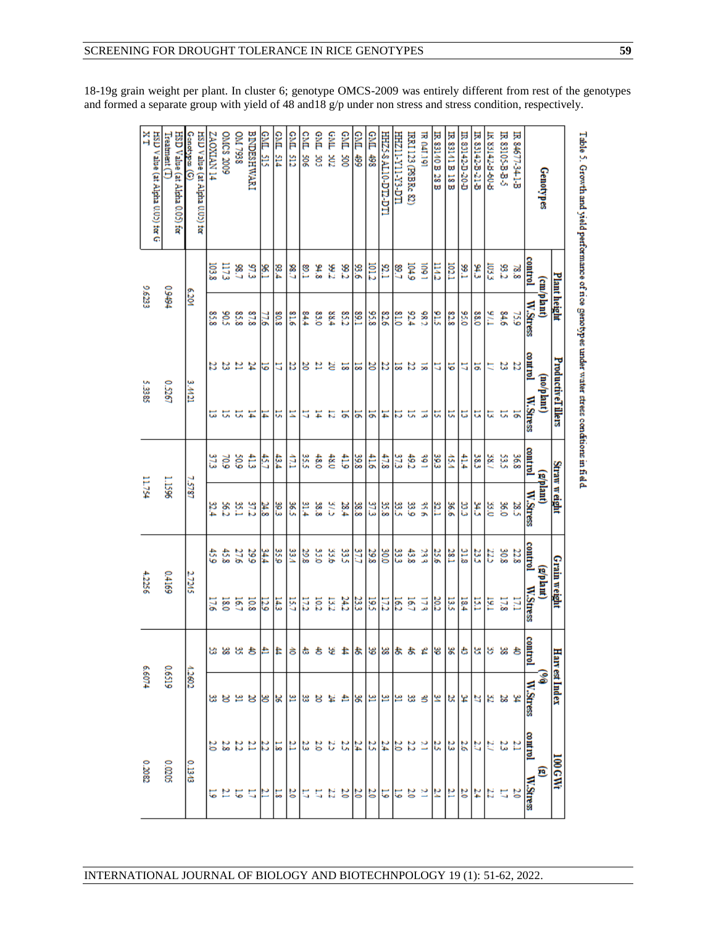18-19g grain weight per plant. In cluster 6; genotype OMCS-2009 was entirely different from rest of the genotypes and formed a separate group with yield of 48 and 18 g/p under non stress and stress condition, respectively.

| Genotypes (G)<br>HSD Value (at Alpha 0.02) for<br>6.201 |             | <b>FI NVIXOVZ</b><br>103,8<br>85.8 | OMCS 2009<br>$\overline{1173}$<br>505 | <b>DIAT7938</b><br>$-82$<br>85.8 | <b>BINDESHWARI</b><br>97.3<br>87.8                                    | GML 515<br>96.1<br>51, | CML <sub>514</sub><br>93.4<br>808 | GML 512<br>08.7<br>81.6 | <b>GML 506</b><br>ိုင<br>$^{++8}$ | GML 505<br>8.ls<br>83.0 | <b>GML 302</b><br>26<br>88.4 | <b>GML 500</b><br>82<br>85.2 | 664 TV9<br>93.6<br><b>S9.1</b> | <b>GML 498</b><br>DI.2<br>83.8 | <b>HEZS ALIO-DTL DTI</b><br>$^{12}$<br>82.6                   | LLO-6X-IIX-IIZHH<br>7.98<br><b>g</b> | IRRI 123 (PSBR. 82)<br><b>04.9</b><br>62.4 | <b>IR 041.191</b><br>š<br>282 | IR 83140 B 28 B<br>EИ<br>ξB               | <b>IR 83141 B 18 B</b><br><b>LCOI</b><br>82.8 | L-02-0-2142-0-1<br>58.1<br>95.0 | IR 83142-B-21-B<br>٩ž<br>88.0 | IK 85142-B-60-B<br>ns3<br>17/6 | IR 83105-B-B-5<br>93.2<br>84.6 | IR 84677-34-1-B<br>38.8<br>759 | <b>control</b><br>W.Stress | Genotypes<br>(cm/plant) | Plant height          | Table 5. Growth and yield performance of nce genotypes under water stress conditions in field. |
|---------------------------------------------------------|-------------|------------------------------------|---------------------------------------|----------------------------------|-----------------------------------------------------------------------|------------------------|-----------------------------------|-------------------------|-----------------------------------|-------------------------|------------------------------|------------------------------|--------------------------------|--------------------------------|---------------------------------------------------------------|--------------------------------------|--------------------------------------------|-------------------------------|-------------------------------------------|-----------------------------------------------|---------------------------------|-------------------------------|--------------------------------|--------------------------------|--------------------------------|----------------------------|-------------------------|-----------------------|------------------------------------------------------------------------------------------------|
| 0.5267                                                  | 3.4421      |                                    | ន ន                                   | $\frac{24}{21}$                  |                                                                       | 5                      | 2                                 | B                       | ४                                 | 뵵                       | S                            | 53                           | 52                             |                                | 3 8                                                           | ង ដ                                  |                                            | 5                             | E                                         | 5                                             | E,                              | ă                             | Ę                              | ង ង                            |                                | louthrod                   | (no/plant)              | ProductiveTillers     |                                                                                                |
|                                                         |             | ಡ                                  | ă,                                    | 5F                               |                                                                       | E                      | 5                                 | Ξ                       | 5                                 | Ħ                       | E,                           | 능                            | 5                              | 지도                             |                                                               | 5                                    | ā,                                         | $\overline{z}$                | <b>U</b>                                  | 51                                            | u,                              | Ľ,                            | 5                              | ದ ವ                            |                                | W.Stress                   |                         |                       |                                                                                                |
|                                                         |             |                                    | 70.9                                  | 60S                              | ŧ                                                                     | Ŝ                      | 43.4                              | Ê                       | 35.5                              | 48.0                    | $rac{1}{2}$                  | 41.9                         | 39.8                           | ŧ                              | 47.8                                                          | 37.3                                 | 49.2                                       | š                             | 39.3                                      | 15.4                                          | ₿                               | នី                            | SS/                            | 33.5                           | 36.8                           | control                    |                         |                       |                                                                                                |
| 96SL                                                    | <b>LSLS</b> | ra                                 | Š2                                    | 35.1                             | $\frac{37.2}{21.2}$                                                   | 24.8                   | 30.3                              | $\frac{8}{26}$          | 31.4                              | 38.8                    | S,                           | 28.4                         | 38.8                           | $\frac{37.3}{2}$               | 35.8                                                          | 33.2                                 | 33.9                                       | ويوارد                        | ľΰ                                        | 99%                                           | 3)<br>ما                        | č                             | 93.0                           | 0.96                           | 28.5                           | W.Stress                   | (phlant)                | <b>Straw weight</b>   |                                                                                                |
|                                                         |             | ¢,                                 | 45,8                                  | 27.6                             | 29.9                                                                  | ķκ                     | 35,0                              | š3.4                    | 29.8                              | 35.0                    | 33.6                         | 33.5                         | 37.7                           | 29.8                           | $\frac{33}{900}$                                              |                                      | 43.8                                       | 3g                            | 25.6                                      | 381                                           | $\frac{21.8}{2}$                | 23,5                          | 22                             | 308                            | 22.8                           | control                    |                         |                       |                                                                                                |
| 69110                                                   | 27245       | 176                                | $\overline{180}$                      | 187                              | 10.8                                                                  | 52                     | 14.3                              | 15.7                    | 172                               | 10.2                    | 132                          | 24.2                         | 23.3                           | 195                            | $\frac{162}{172}$                                             |                                      | 187                                        | 173                           | 30.2                                      | 13.5                                          | 18.4                            | E                             | <u>isi</u>                     | 17.1<br>17.8                   |                                | W.Stress                   | (g/plam)                | Grain weight          |                                                                                                |
|                                                         |             |                                    | జ జ                                   |                                  |                                                                       |                        | ₩                                 |                         |                                   |                         |                              |                              | ま                              |                                | $\frac{1}{8}$ $\approx$ $\frac{1}{8}$                         |                                      |                                            |                               | 8 8                                       |                                               |                                 | 3 8 5                         |                                |                                |                                | 틸                          |                         |                       |                                                                                                |
| 0.6519                                                  | 1.2602      |                                    |                                       |                                  | 의봉의용학왕                                                                |                        |                                   |                         | a.                                |                         | ¥                            |                              |                                |                                |                                                               |                                      | 꽃 용 화[화]화]화] 황 화 희 학[학]횡[축]                |                               |                                           |                                               |                                 |                               |                                |                                |                                | W.Stress                   |                         | <b>Harr est Index</b> |                                                                                                |
|                                                         |             |                                    |                                       |                                  | $\frac{3}{3}$ $\frac{3}{4}$ $\frac{3}{4}$ $\frac{3}{4}$ $\frac{3}{8}$ |                        |                                   | 12                      | 3.                                | 2,0                     | 8                            |                              |                                |                                | $\frac{3}{4} \frac{3}{4} \frac{3}{4} \frac{1}{4} \frac{3}{4}$ |                                      |                                            | ž                             | $\frac{2}{3}$ $\frac{3}{3}$ $\frac{3}{3}$ |                                               |                                 |                               |                                | $\frac{37}{2}$                 |                                | loutinol                   |                         |                       |                                                                                                |
| 0.0205                                                  | 0.1343      |                                    |                                       | 5 1 5                            |                                                                       |                        | $ S  =  S $                       |                         | 5                                 | Ľ,                      |                              | $3$ $3$ $3$ $3$ $3$ $3$ $3$  |                                |                                |                                                               |                                      |                                            | ž                             | $\frac{3 3 3 3 1 2 }{}$                   |                                               |                                 |                               |                                | $\frac{20}{11}$                |                                |                            | ε                       | <b>100 GM</b>         |                                                                                                |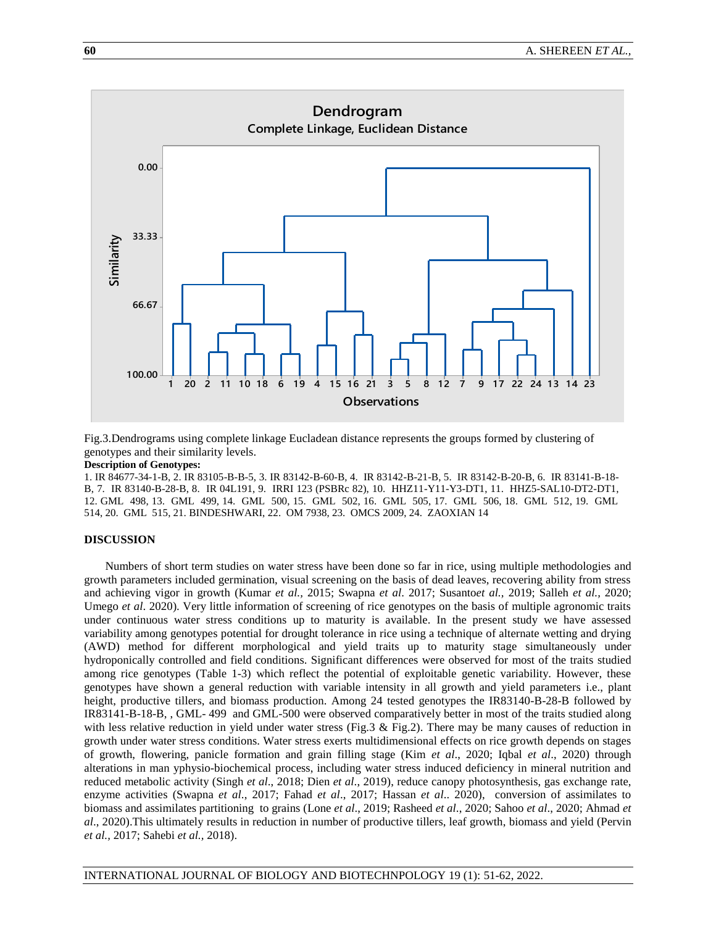

Fig.3.Dendrograms using complete linkage Eucladean distance represents the groups formed by clustering of genotypes and their similarity levels.

#### **Description of Genotypes:**

1. IR 84677-34-1-B, 2. IR 83105-B-B-5, 3. IR 83142-B-60-B, 4. IR 83142-B-21-B, 5. IR 83142-B-20-B, 6. IR 83141-B-18- B, 7. IR 83140-B-28-B, 8. IR 04L191, 9. IRRI 123 (PSBRc 82), 10. HHZ11-Y11-Y3-DT1, 11. HHZ5-SAL10-DT2-DT1, 12. GML 498, 13. GML 499, 14. GML 500, 15. GML 502, 16. GML 505, 17. GML 506, 18. GML 512, 19. GML 514, 20. GML 515, 21. BINDESHWARI, 22. OM 7938, 23. OMCS 2009, 24. ZAOXIAN 14

### **DISCUSSION**

Numbers of short term studies on water stress have been done so far in rice, using multiple methodologies and growth parameters included germination, visual screening on the basis of dead leaves, recovering ability from stress and achieving vigor in growth (Kumar *et al.,* 2015; Swapna *et al*. 2017; Susanto*et al.,* 2019; Salleh *et al.,* 2020; Umego *et al.* 2020). Very little information of screening of rice genotypes on the basis of multiple agronomic traits under continuous water stress conditions up to maturity is available. In the present study we have assessed variability among genotypes potential for drought tolerance in rice using a technique of alternate wetting and drying (AWD) method for different morphological and yield traits up to maturity stage simultaneously under hydroponically controlled and field conditions. Significant differences were observed for most of the traits studied among rice genotypes (Table 1-3) which reflect the potential of exploitable genetic variability. However, these genotypes have shown a general reduction with variable intensity in all growth and yield parameters i.e., plant height, productive tillers, and biomass production. Among 24 tested genotypes the IR83140-B-28-B followed by IR83141-B-18-B, , GML- 499 and GML-500 were observed comparatively better in most of the traits studied along with less relative reduction in yield under water stress (Fig.3 & Fig.2). There may be many causes of reduction in growth under water stress conditions. Water stress exerts multidimensional effects on rice growth depends on stages of growth, flowering, panicle formation and grain filling stage (Kim *et al*., 2020; Iqbal *et al*., 2020) through alterations in man yphysio-biochemical process, including water stress induced deficiency in mineral nutrition and reduced metabolic activity (Singh *et al*., 2018; Dien *et al*., 2019), reduce canopy photosynthesis, gas exchange rate, enzyme activities (Swapna *et al*., 2017; Fahad *et al*., 2017; Hassan *et al*.. 2020), conversion of assimilates to biomass and assimilates partitioning to grains (Lone *et al*., 2019; Rasheed *et al*., 2020; Sahoo *et al*., 2020; Ahmad *et al*., 2020).This ultimately results in reduction in number of productive tillers, leaf growth, biomass and yield (Pervin *et al.,* 2017; Sahebi *et al.,* 2018).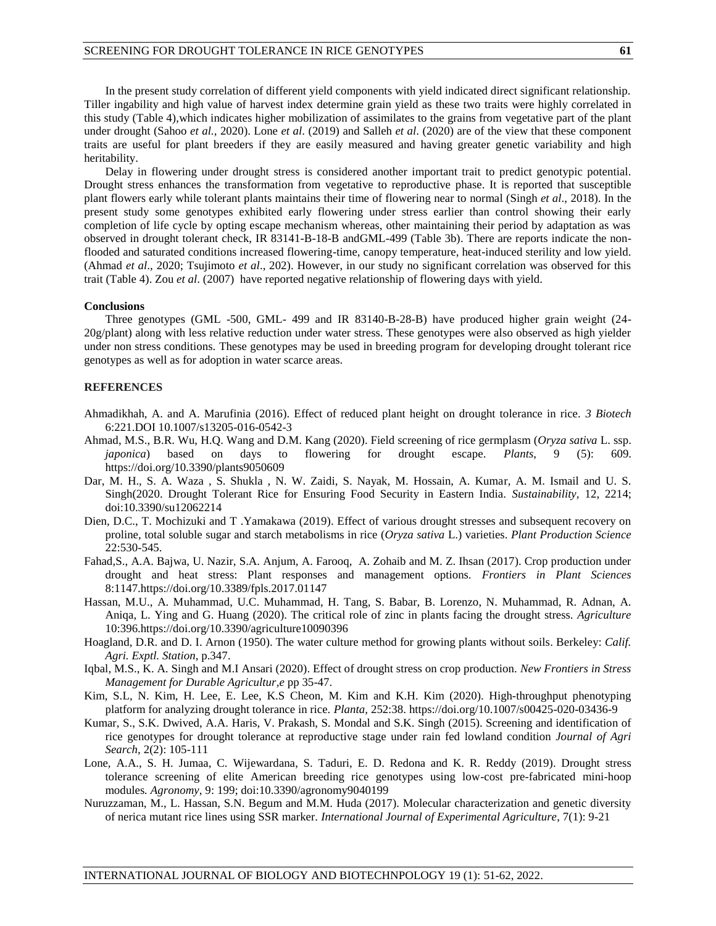In the present study correlation of different yield components with yield indicated direct significant relationship. Tiller ingability and high value of harvest index determine grain yield as these two traits were highly correlated in this study (Table 4),which indicates higher mobilization of assimilates to the grains from vegetative part of the plant under drought (Sahoo *et al.,* 2020). Lone *et al*. (2019) and Salleh *et al*. (2020) are of the view that these component traits are useful for plant breeders if they are easily measured and having greater genetic variability and high heritability.

Delay in flowering under drought stress is considered another important trait to predict genotypic potential. Drought stress enhances the transformation from vegetative to reproductive phase. It is reported that susceptible plant flowers early while tolerant plants maintains their time of flowering near to normal (Singh *et al*., 2018). In the present study some genotypes exhibited early flowering under stress earlier than control showing their early completion of life cycle by opting escape mechanism whereas, other maintaining their period by adaptation as was observed in drought tolerant check, IR 83141-B-18-B andGML-499 (Table 3b). There are reports indicate the nonflooded and saturated conditions increased flowering-time, canopy temperature, heat-induced sterility and low yield. (Ahmad *et al*., 2020; Tsujimoto *et al*., 202). However, in our study no significant correlation was observed for this trait (Table 4). Zou *et al*. (2007) have reported negative relationship of flowering days with yield.

#### **Conclusions**

Three genotypes (GML -500, GML- 499 and IR 83140-B-28-B) have produced higher grain weight (24- 20g/plant) along with less relative reduction under water stress. These genotypes were also observed as high yielder under non stress conditions. These genotypes may be used in breeding program for developing drought tolerant rice genotypes as well as for adoption in water scarce areas.

## **REFERENCES**

- Ahmadikhah, A. and A. Marufinia (2016). Effect of reduced plant height on drought tolerance in rice. *3 Biotech* 6:221.DOI 10.1007/s13205-016-0542-3
- Ahmad, M.S., B.R. Wu, H.Q. Wang and D.M. Kang (2020). Field screening of rice germplasm (*Oryza sativa* L. ssp. *japonica*) based on days to flowering for drought escape. *Plants*, 9 (5): 609. <https://doi.org/10.3390/plants9050609>
- Dar, M. H., S. A. Waza , S. Shukla , N. W. Zaidi, S. Nayak, M. Hossain, A. Kumar, A. M. Ismail and U. S. Singh(2020. Drought Tolerant Rice for Ensuring Food Security in Eastern India. *Sustainability,* 12, 2214; doi:10.3390/su12062214
- Dien, D.C., T. Mochizuki and T .Yamakawa (2019). Effect of various drought stresses and subsequent recovery on proline, total soluble sugar and starch metabolisms in rice (*Oryza sativa* L.) varieties. *Plant Production Science* 22:530-545.
- Fahad,S., A.A. Bajwa, U. Nazir, S.A. Anjum, A. Farooq, A. Zohaib and M. Z. Ihsan (2017). Crop production under drought and heat stress: Plant responses and management options. *Frontiers in Plant Sciences* 8:1147[.https://doi.org/10.3389/fpls.2017.01147](https://doi.org/10.3389/fpls.2017.01147)
- Hassan, M.U., A. Muhammad, U.C. Muhammad, H. Tang, S. Babar, B. Lorenzo, N. Muhammad, R. Adnan, A. Aniqa, L. Ying and G. Huang (2020). The critical role of zinc in plants facing the drought stress*. Agriculture* 10:396.https://doi.org/10.3390/agriculture10090396
- Hoagland, D.R. and D. I. Arnon (1950). The water culture method for growing plants without soils. Berkeley: *Calif. Agri. Exptl. Station*, p.347.
- Iqbal, M.S., K. A. Singh and M.I Ansari (2020). Effect of drought stress on crop production. *New Frontiers in Stress Management for Durable Agricultur,e* pp 35-47.
- Kim, S.L, N. Kim, H. Lee, E. Lee, K.S Cheon, M. Kim and K.H. Kim (2020). High-throughput phenotyping platform for analyzing drought tolerance in rice. *Planta,* 252:38.<https://doi.org/10.1007/s00425-020-03436-9>
- Kumar, S., S.K. Dwived, A.A. Haris, V. Prakash, S. Mondal and S.K. Singh (2015). Screening and identification of rice genotypes for drought tolerance at reproductive stage under rain fed lowland condition *Journal of Agri Search,* 2(2): 105-111
- Lone, A.A., S. H. Jumaa, C. Wijewardana, S. Taduri, E. D. Redona and K. R. Reddy (2019). Drought stress tolerance screening of elite American breeding rice genotypes using low-cost pre-fabricated mini-hoop modules*. Agronomy*, 9: 199; doi:10.3390/agronomy9040199
- Nuruzzaman, M., L. Hassan, S.N. Begum and M.M. Huda (2017). Molecular characterization and genetic diversity of nerica mutant rice lines using SSR marker. *International Journal of Experimental Agriculture*, 7(1): 9-21